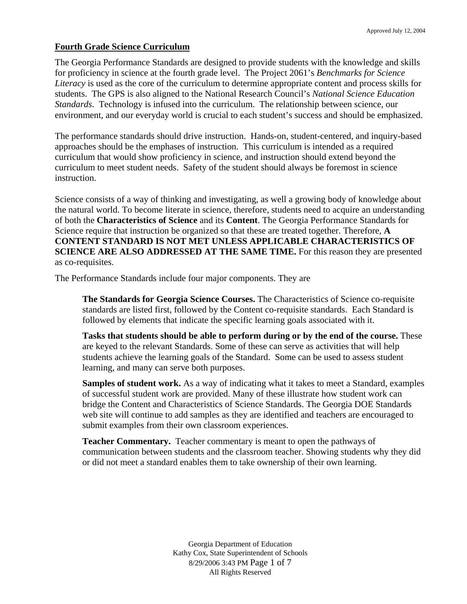#### **Fourth Grade Science Curriculum**

The Georgia Performance Standards are designed to provide students with the knowledge and skills for proficiency in science at the fourth grade level. The Project 2061's *Benchmarks for Science Literacy* is used as the core of the curriculum to determine appropriate content and process skills for students. The GPS is also aligned to the National Research Council's *National Science Education Standards*. Technology is infused into the curriculum. The relationship between science, our environment, and our everyday world is crucial to each student's success and should be emphasized.

The performance standards should drive instruction. Hands-on, student-centered, and inquiry-based approaches should be the emphases of instruction. This curriculum is intended as a required curriculum that would show proficiency in science, and instruction should extend beyond the curriculum to meet student needs. Safety of the student should always be foremost in science instruction.

Science consists of a way of thinking and investigating, as well a growing body of knowledge about the natural world. To become literate in science, therefore, students need to acquire an understanding of both the **Characteristics of Science** and its **Content**. The Georgia Performance Standards for Science require that instruction be organized so that these are treated together. Therefore, **A CONTENT STANDARD IS NOT MET UNLESS APPLICABLE CHARACTERISTICS OF SCIENCE ARE ALSO ADDRESSED AT THE SAME TIME.** For this reason they are presented as co-requisites.

The Performance Standards include four major components. They are

**The Standards for Georgia Science Courses.** The Characteristics of Science co-requisite standards are listed first, followed by the Content co-requisite standards. Each Standard is followed by elements that indicate the specific learning goals associated with it.

**Tasks that students should be able to perform during or by the end of the course.** These are keyed to the relevant Standards. Some of these can serve as activities that will help students achieve the learning goals of the Standard. Some can be used to assess student learning, and many can serve both purposes.

**Samples of student work.** As a way of indicating what it takes to meet a Standard, examples of successful student work are provided. Many of these illustrate how student work can bridge the Content and Characteristics of Science Standards. The Georgia DOE Standards web site will continue to add samples as they are identified and teachers are encouraged to submit examples from their own classroom experiences.

**Teacher Commentary.** Teacher commentary is meant to open the pathways of communication between students and the classroom teacher. Showing students why they did or did not meet a standard enables them to take ownership of their own learning.

> Georgia Department of Education Kathy Cox, State Superintendent of Schools 8/29/2006 3:43 PM Page 1 of 7 All Rights Reserved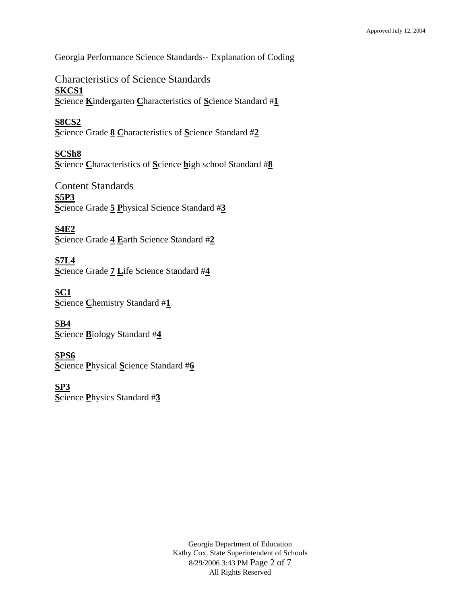Georgia Performance Science Standards-- Explanation of Coding

Characteristics of Science Standards **SKCS1 S**cience **K**indergarten **C**haracteristics of **S**cience Standard #**1**

**S8CS2 S**cience Grade **8 C**haracteristics of **S**cience Standard #**2**

**SCSh8 S**cience **C**haracteristics of **S**cience **h**igh school Standard #**8**

Content Standards **S5P3 S**cience Grade **5 P**hysical Science Standard #**3**

**S4E2 S**cience Grade **4 E**arth Science Standard #**2**

**S7L4 S**cience Grade **7 L**ife Science Standard #**4**

**SC1 S**cience **C**hemistry Standard #**1**

**SB4 S**cience **B**iology Standard #**4**

**SPS6 S**cience **P**hysical **S**cience Standard #**6**

**SP3 S**cience **P**hysics Standard #**3**

> Georgia Department of Education Kathy Cox, State Superintendent of Schools 8/29/2006 3:43 PM Page 2 of 7 All Rights Reserved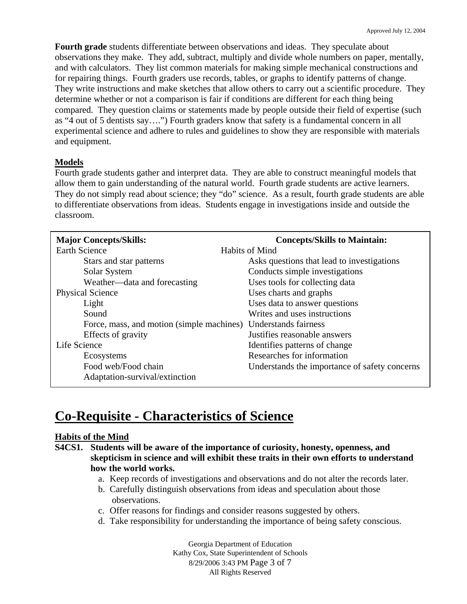**Fourth grade** students differentiate between observations and ideas. They speculate about observations they make. They add, subtract, multiply and divide whole numbers on paper, mentally, and with calculators. They list common materials for making simple mechanical constructions and for repairing things. Fourth graders use records, tables, or graphs to identify patterns of change. They write instructions and make sketches that allow others to carry out a scientific procedure. They determine whether or not a comparison is fair if conditions are different for each thing being compared. They question claims or statements made by people outside their field of expertise (such as "4 out of 5 dentists say….") Fourth graders know that safety is a fundamental concern in all experimental science and adhere to rules and guidelines to show they are responsible with materials and equipment.

### **Models**

Fourth grade students gather and interpret data. They are able to construct meaningful models that allow them to gain understanding of the natural world. Fourth grade students are active learners. They do not simply read about science; they "do" science. As a result, fourth grade students are able to differentiate observations from ideas. Students engage in investigations inside and outside the classroom.

| <b>Major Concepts/Skills:</b>                                  | <b>Concepts/Skills to Maintain:</b>           |
|----------------------------------------------------------------|-----------------------------------------------|
| <b>Earth Science</b>                                           | Habits of Mind                                |
| Stars and star patterns                                        | Asks questions that lead to investigations    |
| Solar System                                                   | Conducts simple investigations                |
| Weather—data and forecasting                                   | Uses tools for collecting data                |
| <b>Physical Science</b>                                        | Uses charts and graphs                        |
| Light                                                          | Uses data to answer questions                 |
| Sound                                                          | Writes and uses instructions                  |
| Force, mass, and motion (simple machines) Understands fairness |                                               |
| Effects of gravity                                             | Justifies reasonable answers                  |
| Life Science                                                   | Identifies patterns of change                 |
| Ecosystems                                                     | Researches for information                    |
| Food web/Food chain                                            | Understands the importance of safety concerns |
| Adaptation-survival/extinction                                 |                                               |
|                                                                |                                               |

# **Co-Requisite - Characteristics of Science**

#### **Habits of the Mind**

- **S4CS1. Students will be aware of the importance of curiosity, honesty, openness, and skepticism in science and will exhibit these traits in their own efforts to understand how the world works.** 
	- a. Keep records of investigations and observations and do not alter the records later.
	- b. Carefully distinguish observations from ideas and speculation about those observations.
	- c. Offer reasons for findings and consider reasons suggested by others.
	- d. Take responsibility for understanding the importance of being safety conscious.

Georgia Department of Education Kathy Cox, State Superintendent of Schools 8/29/2006 3:43 PM Page 3 of 7 All Rights Reserved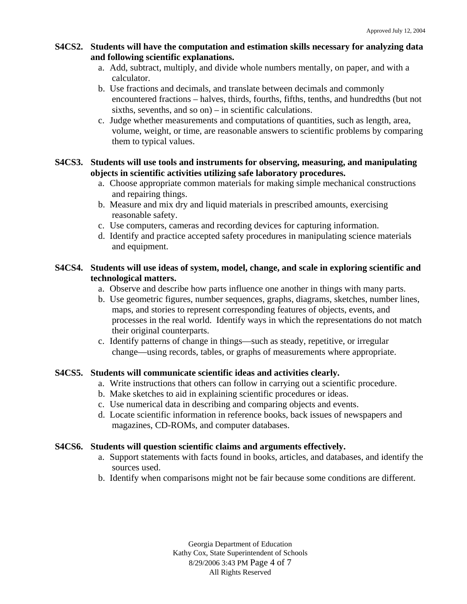## **S4CS2. Students will have the computation and estimation skills necessary for analyzing data and following scientific explanations.**

- a. Add, subtract, multiply, and divide whole numbers mentally, on paper, and with a calculator.
- b. Use fractions and decimals, and translate between decimals and commonly encountered fractions – halves, thirds, fourths, fifths, tenths, and hundredths (but not sixths, sevenths, and so on) – in scientific calculations.
- c. Judge whether measurements and computations of quantities, such as length, area, volume, weight, or time, are reasonable answers to scientific problems by comparing them to typical values.

## **S4CS3. Students will use tools and instruments for observing, measuring, and manipulating objects in scientific activities utilizing safe laboratory procedures.**

- a. Choose appropriate common materials for making simple mechanical constructions and repairing things.
- b. Measure and mix dry and liquid materials in prescribed amounts, exercising reasonable safety.
- c. Use computers, cameras and recording devices for capturing information.
- d. Identify and practice accepted safety procedures in manipulating science materials and equipment.

## **S4CS4. Students will use ideas of system, model, change, and scale in exploring scientific and technological matters.**

- a. Observe and describe how parts influence one another in things with many parts.
- b. Use geometric figures, number sequences, graphs, diagrams, sketches, number lines, maps, and stories to represent corresponding features of objects, events, and processes in the real world. Identify ways in which the representations do not match their original counterparts.
- c. Identify patterns of change in things—such as steady, repetitive, or irregular change—using records, tables, or graphs of measurements where appropriate.

## **S4CS5. Students will communicate scientific ideas and activities clearly.**

- a. Write instructions that others can follow in carrying out a scientific procedure.
- b. Make sketches to aid in explaining scientific procedures or ideas.
- c. Use numerical data in describing and comparing objects and events.
- d. Locate scientific information in reference books, back issues of newspapers and magazines, CD-ROMs, and computer databases.

## **S4CS6. Students will question scientific claims and arguments effectively.**

- a. Support statements with facts found in books, articles, and databases, and identify the sources used.
- b. Identify when comparisons might not be fair because some conditions are different.

Georgia Department of Education Kathy Cox, State Superintendent of Schools 8/29/2006 3:43 PM Page 4 of 7 All Rights Reserved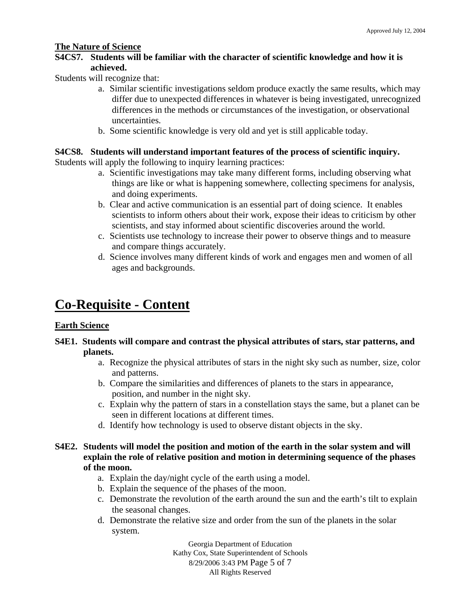#### **The Nature of Science**

## **S4CS7. Students will be familiar with the character of scientific knowledge and how it is achieved.**

Students will recognize that:

- a. Similar scientific investigations seldom produce exactly the same results, which may differ due to unexpected differences in whatever is being investigated, unrecognized differences in the methods or circumstances of the investigation, or observational uncertainties.
- b. Some scientific knowledge is very old and yet is still applicable today.

#### **S4CS8. Students will understand important features of the process of scientific inquiry.**

Students will apply the following to inquiry learning practices:

- a. Scientific investigations may take many different forms, including observing what things are like or what is happening somewhere, collecting specimens for analysis, and doing experiments.
- b. Clear and active communication is an essential part of doing science. It enables scientists to inform others about their work, expose their ideas to criticism by other scientists, and stay informed about scientific discoveries around the world.
- c. Scientists use technology to increase their power to observe things and to measure and compare things accurately.
- d. Science involves many different kinds of work and engages men and women of all ages and backgrounds.

## **Co-Requisite - Content**

#### **Earth Science**

### **S4E1. Students will compare and contrast the physical attributes of stars, star patterns, and planets.**

- a. Recognize the physical attributes of stars in the night sky such as number, size, color and patterns.
- b. Compare the similarities and differences of planets to the stars in appearance, position, and number in the night sky.
- c. Explain why the pattern of stars in a constellation stays the same, but a planet can be seen in different locations at different times.
- d. Identify how technology is used to observe distant objects in the sky.

#### **S4E2. Students will model the position and motion of the earth in the solar system and will explain the role of relative position and motion in determining sequence of the phases of the moon.**

- a. Explain the day/night cycle of the earth using a model.
- b. Explain the sequence of the phases of the moon.
- c. Demonstrate the revolution of the earth around the sun and the earth's tilt to explain the seasonal changes.
- d. Demonstrate the relative size and order from the sun of the planets in the solar system.

Georgia Department of Education Kathy Cox, State Superintendent of Schools 8/29/2006 3:43 PM Page 5 of 7 All Rights Reserved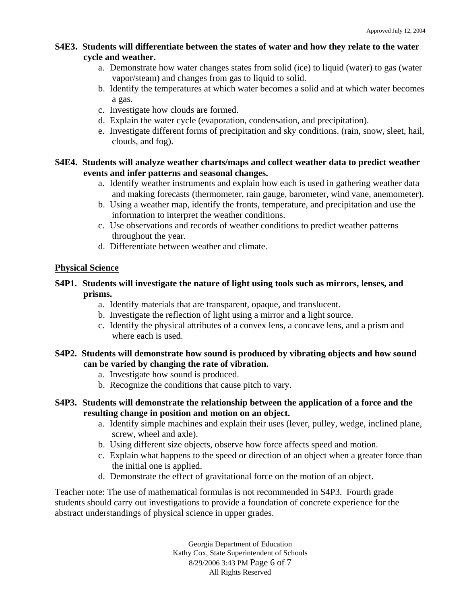## **S4E3. Students will differentiate between the states of water and how they relate to the water cycle and weather.**

- a. Demonstrate how water changes states from solid (ice) to liquid (water) to gas (water vapor/steam) and changes from gas to liquid to solid.
- b. Identify the temperatures at which water becomes a solid and at which water becomes a gas.
- c. Investigate how clouds are formed.
- d. Explain the water cycle (evaporation, condensation, and precipitation).
- e. Investigate different forms of precipitation and sky conditions. (rain, snow, sleet, hail, clouds, and fog).

## **S4E4. Students will analyze weather charts/maps and collect weather data to predict weather events and infer patterns and seasonal changes.**

- a. Identify weather instruments and explain how each is used in gathering weather data and making forecasts (thermometer, rain gauge, barometer, wind vane, anemometer).
- b. Using a weather map, identify the fronts, temperature, and precipitation and use the information to interpret the weather conditions.
- c. Use observations and records of weather conditions to predict weather patterns throughout the year.
- d. Differentiate between weather and climate.

## **Physical Science**

## **S4P1. Students will investigate the nature of light using tools such as mirrors, lenses, and prisms.**

- a. Identify materials that are transparent, opaque, and translucent.
- b. Investigate the reflection of light using a mirror and a light source.
- c. Identify the physical attributes of a convex lens, a concave lens, and a prism and where each is used.

## **S4P2. Students will demonstrate how sound is produced by vibrating objects and how sound can be varied by changing the rate of vibration.**

- a. Investigate how sound is produced.
- b. Recognize the conditions that cause pitch to vary.
- **S4P3. Students will demonstrate the relationship between the application of a force and the resulting change in position and motion on an object.** 
	- a. Identify simple machines and explain their uses (lever, pulley, wedge, inclined plane, screw, wheel and axle).
	- b. Using different size objects, observe how force affects speed and motion.
	- c. Explain what happens to the speed or direction of an object when a greater force than the initial one is applied.
	- d. Demonstrate the effect of gravitational force on the motion of an object.

Teacher note: The use of mathematical formulas is not recommended in S4P3. Fourth grade students should carry out investigations to provide a foundation of concrete experience for the abstract understandings of physical science in upper grades.

> Georgia Department of Education Kathy Cox, State Superintendent of Schools 8/29/2006 3:43 PM Page 6 of 7 All Rights Reserved